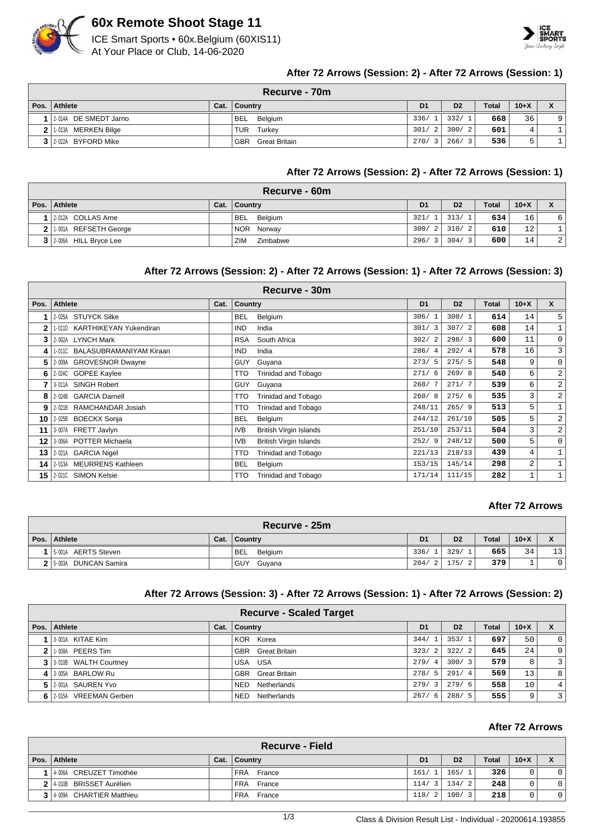

## **60x Remote Shoot Stage 11**

ICE Smart Sports • 60x.Belgium (60XIS11) At Your Place or Club, 14-06-2020



#### **After 72 Arrows (Session: 2) - After 72 Arrows (Session: 1)**

|      | <b>Recurve - 70m</b>  |  |                             |                |                |              |        |              |  |  |  |
|------|-----------------------|--|-----------------------------|----------------|----------------|--------------|--------|--------------|--|--|--|
| Pos. | Athlete               |  | Cat.   Country              | D <sub>1</sub> | D <sub>2</sub> | <b>Total</b> | $10+X$ |              |  |  |  |
|      | 2-014A DE SMEDT Jarno |  | <b>BEL</b><br>Belgium       | 336/1          | 332/1          | 668          | 36     | $\mathsf{Q}$ |  |  |  |
|      | 2 1-013A MERKEN Bilge |  | TUR<br>Turkey               | 301/2          | 300/2          | 601          | 4      |              |  |  |  |
|      | 3 2 022A BYFORD Mike  |  | <b>GBR</b><br>Great Britain | 270/3          | 266/3          | 536          | -<br>5 |              |  |  |  |

#### **After 72 Arrows (Session: 2) - After 72 Arrows (Session: 1)**

|      | Recurve - 60m             |      |                       |                |                |              |                 |                |  |  |
|------|---------------------------|------|-----------------------|----------------|----------------|--------------|-----------------|----------------|--|--|
| Pos. | <b>Athlete</b>            | Cat. | <b>Country</b>        | D <sub>1</sub> | D <sub>2</sub> | <b>Total</b> | $10 + X$        | $\checkmark$   |  |  |
|      | 2-012A COLLAS Arne        |      | <b>BEL</b><br>Belgium | 321/           | 313/           | 634          | 16              | 6              |  |  |
|      | 2 1.001A REFSETH George   |      | NOR Norway            | 300/2          | 310/2          | 610          | 12 <sub>1</sub> |                |  |  |
|      | 3   2-006A HILL Bryce Lee |      | ZIM<br>Zimbabwe       | 296/3          | 304/           | 600          | 14              | $\overline{2}$ |  |  |

#### **After 72 Arrows (Session: 2) - After 72 Arrows (Session: 1) - After 72 Arrows (Session: 3)**

|              | Recurve - 30m                  |      |                                             |                        |                |       |        |                |  |  |  |
|--------------|--------------------------------|------|---------------------------------------------|------------------------|----------------|-------|--------|----------------|--|--|--|
| Pos.         | <b>Athlete</b>                 | Cat. | Country                                     | D <sub>1</sub>         | D <sub>2</sub> | Total | $10+X$ | $\mathbf{x}$   |  |  |  |
|              | 2-025A STUYCK Silke            |      | Belgium<br><b>BEL</b>                       | 306/                   | 308/1          | 614   | 14     | 5              |  |  |  |
| $\mathbf{2}$ | 1-011D KARTHIKEYAN Yukendiran  |      | <b>IND</b><br>India                         | 301/3                  | 307/2          | 608   | 14     | $\mathbf{1}$   |  |  |  |
| 3            | 2-002A LYNCH Mark              |      | South Africa<br>RSA                         | 302/<br>$\mathcal{L}$  | 298/3          | 600   | 11     | 0              |  |  |  |
| 4            | 1-011C BALASUBRAMANIYAM Kiraan |      | <b>IND</b><br>India                         | 286/<br>$\overline{4}$ | 292/4          | 578   | 16     | 3              |  |  |  |
| 5            | 2-009A GROVESNOR Dwayne        |      | <b>GUY</b><br>Guyana                        | 273/5                  | 275/5          | 548   | 9      | 0              |  |  |  |
| 6            | 2-024C GOPEE Kaylee            |      | <b>Trinidad and Tobago</b><br><b>TTO</b>    | 271/6                  | 269/8          | 540   | 6      | $\overline{a}$ |  |  |  |
| 7            | 3-011A SINGH Robert            |      | Guyana<br><b>GUY</b>                        | 268/7                  | 271/7          | 539   | 6      | $\overline{a}$ |  |  |  |
| 8            | 2-024B GARCIA Darnell          |      | TTO<br>Trinidad and Tobago                  | 260/8                  | 275/6          | 535   | 3      | 2              |  |  |  |
| 9            | 2-021B RAMCHANDAR Josiah       |      | Trinidad and Tobago<br>TTO                  | 248/11                 | 265/9          | 513   | 5      | $\mathbf 1$    |  |  |  |
| 10           | 2-025B BOECKX Sonja            |      | <b>BEL</b><br>Belgium                       | 244/12                 | 261/10         | 505   | 5      | $\overline{a}$ |  |  |  |
| 11           | 3-007A FRETT Javlyn            |      | <b>British Virgin Islands</b><br><b>IVB</b> | 251/10                 | 253/11         | 504   | 3      | $\overline{a}$ |  |  |  |
| 12           | 3-006A POTTER Michaela         |      | <b>British Virgin Islands</b><br><b>IVB</b> | 252/9                  | 248/12         | 500   | 5      | 0              |  |  |  |
| 13           | 2-021A GARCIA Nigel            |      | <b>Trinidad and Tobago</b><br>TTO           | 221/13                 | 218/13         | 439   | 4      | $\mathbf 1$    |  |  |  |
| 14           | 2-013A MEURRENS Kathleen       |      | <b>BEL</b><br>Belgium                       | 153/15                 | 145/14         | 298   | 2      |                |  |  |  |
| 15           | 2-0210 SIMON Kelsie            |      | TTO<br>Trinidad and Tobago                  | 171/14                 | 111/15         | 282   | 1      | 1              |  |  |  |

#### **After 72 Arrows**

| Recurve - 25m            |      |                       |                |                |       |        |                    |  |  |
|--------------------------|------|-----------------------|----------------|----------------|-------|--------|--------------------|--|--|
| Pos. Athlete             | Cat. | <b>Country</b>        | D <sub>1</sub> | D <sub>2</sub> | Total | $10+X$ | $\mathbf{\Lambda}$ |  |  |
| 15-001A AERTS Steven     |      | <b>BEL</b><br>Belgium | 336/1          | 329/           | 665   | 34     | 13                 |  |  |
| 2   5-003A DUNCAN Samira |      | GUY<br>Guyana         | 204/2          | 175/           | 379   |        |                    |  |  |

#### **After 72 Arrows (Session: 3) - After 72 Arrows (Session: 1) - After 72 Arrows (Session: 2)**

|   |                           |      | <b>Recurve - Scaled Target</b> |                |                |       |        |                |
|---|---------------------------|------|--------------------------------|----------------|----------------|-------|--------|----------------|
|   | Pos. Athlete              | Cat. | Country                        | D <sub>1</sub> | D <sub>2</sub> | Total | $10+X$ | X              |
|   | 13-001A KITAE Kim         |      | KOR Korea                      | 344/1          | 353/1          | 697   | 50     | $\overline{0}$ |
| 2 | 1-008A PEERS Tim          |      | <b>GBR</b> Great Britain       | 323/2          | 322/2          | 645   | 24     | $\overline{0}$ |
|   | 3 3 3 010B WALTH Courtney |      | USA USA                        | 279/4          | 300/3          | 579   | 8      | $\overline{3}$ |
|   | 4   3-005A BARLOW Ru      |      | <b>GBR</b> Great Britain       | 278/5          | 291/4          | 569   | 13     | 8              |
|   | 5 2001A SAUREN Yvo        |      | Netherlands<br><b>NED</b>      | 279/3          | 279/6          | 558   | 10     | 4 <sup>1</sup> |
|   | 6 2015A VREEMAN Gerben    |      | Netherlands<br><b>NED</b>      | 267/6          | 288/5          | 555   | 9      | $\overline{3}$ |

#### **After 72 Arrows**

|                            |      | <b>Recurve - Field</b> |                |                |                |              |        |  |
|----------------------------|------|------------------------|----------------|----------------|----------------|--------------|--------|--|
| Pos.   Athlete             | Cat. | Country                | D <sub>1</sub> |                | D <sub>2</sub> | <b>Total</b> | $10+X$ |  |
| 4-006A CREUZET Timothée    |      | <b>FRA</b><br>France   | 161/1          |                | 165/1          | 326          |        |  |
| 2 4-010B BRISSET Aurélien  |      | FRA France             | 114/           | $\overline{3}$ | 134/2          | 248          |        |  |
| 3 4 009A CHARTIER Matthieu |      | <b>FRA</b><br>France   | 118/           | - 2            | 100/3          | 218          |        |  |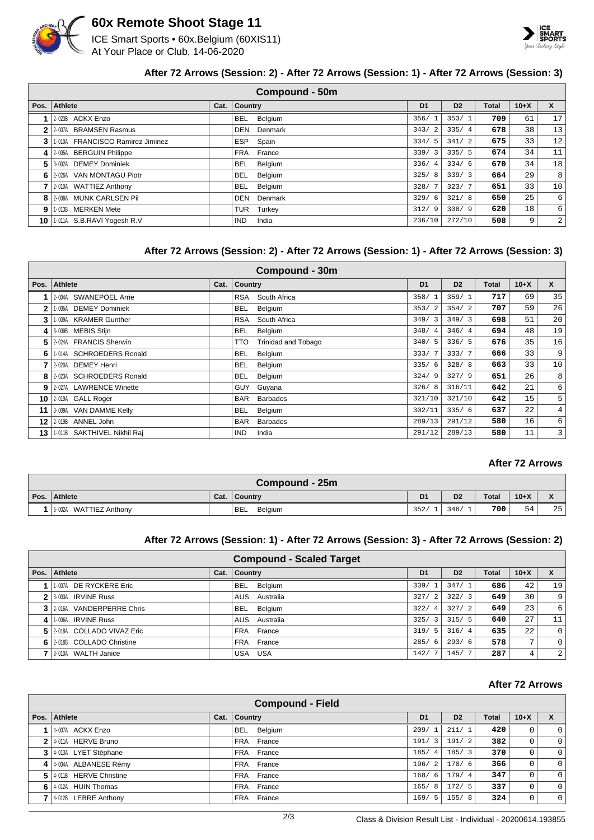

## **60x Remote Shoot Stage 11**

ICE Smart Sports • 60x.Belgium (60XIS11) At Your Place or Club, 14-06-2020



#### **After 72 Arrows (Session: 2) - After 72 Arrows (Session: 1) - After 72 Arrows (Session: 3)**

|         |                                  |      | Compound - 50m        |                |                |       |        |                |
|---------|----------------------------------|------|-----------------------|----------------|----------------|-------|--------|----------------|
| Pos.    | <b>Athlete</b>                   | Cat. | <b>Country</b>        | D <sub>1</sub> | D <sub>2</sub> | Total | $10+X$ | X              |
|         | 2-023B ACKX Enzo                 |      | Belgium<br>BEL        | 356/1          | 353/1          | 709   | 61     | 17             |
| 2       | 2-007A BRAMSEN Rasmus            |      | Denmark<br><b>DEN</b> | 343/2          | 335/4          | 678   | 38     | 13             |
| 3       | 1-010A FRANCISCO Ramirez Jiminez |      | ESP<br>Spain          | 334/5          | 341/2          | 675   | 33     | 12             |
| $\vert$ | 2-005A BERGUIN Philippe          |      | FRA France            | 339/3          | 335/5          | 674   | 34     | 11             |
| 51      | 3-002A DEMEY Dominiek            |      | <b>BEL</b><br>Belgium | 336/4          | 334/6          | 670   | 34     | 18             |
| 6.      | 2-026A VAN MONTAGU Piotr         |      | BEL<br>Belgium        | 325/8          | 339/3          | 664   | 29     | 8              |
|         | 2-010A WATTIEZ Anthony           |      | <b>BEL</b><br>Belgium | 328/           | 323/7          | 651   | 33     | 10             |
| 8       | 2-008A MUNK CARLSEN Pil          |      | <b>DEN</b><br>Denmark | 329/6          | 321/8          | 650   | 25     | 6              |
| 9       | 1-013B MERKEN Mete               |      | Turkey<br>TUR         | 312/<br>- 9    | 308/9          | 620   | 18     | 6              |
| 10      | 1-011A S.B.RAVI Yogesh R.V       |      | <b>IND</b><br>India   | 236/10         | 272/10         | 508   | 9      | $\overline{a}$ |

#### **After 72 Arrows (Session: 2) - After 72 Arrows (Session: 1) - After 72 Arrows (Session: 3)**

|      | Compound - 30m              |      |                     |                            |                        |                |       |        |                 |  |
|------|-----------------------------|------|---------------------|----------------------------|------------------------|----------------|-------|--------|-----------------|--|
| Pos. | <b>Athlete</b>              | Cat. | Country             |                            | D <sub>1</sub>         | D <sub>2</sub> | Total | $10+X$ | $\mathbf{x}$    |  |
|      | 2-004A SWANEPOEL Arrie      |      | <b>RSA</b>          | South Africa               | 358/                   | 359/1          | 717   | 69     | 35              |  |
| 2    | 1-005A DEMEY Dominiek       |      | <b>BEL</b>          | Belgium                    | 353/2                  | 354/2          | 707   | 59     | 26              |  |
| 3    | 1-009A KRAMER Gunther       |      | <b>RSA</b>          | South Africa               | 349/3                  | 349/3          | 698   | 51     | 20 <sub>o</sub> |  |
| 4    | 3-009B MEBIS Stijn          |      | <b>BEL</b>          | Belgium                    | 348/<br>$\overline{4}$ | 346/4          | 694   | 48     | 19              |  |
| 5    | 2-024A FRANCIS Sherwin      |      | TTO                 | <b>Trinidad and Tobago</b> | 340/5                  | 336/5          | 676   | 35     | 16              |  |
| 6    | 1-014A SCHROEDERS Ronald    |      | BEL                 | Belgium                    | 333/7                  | 333/7          | 666   | 33     | 9               |  |
|      | 2-020A DEMEY Henri          |      | <b>BEL</b>          | Belgium                    | 335/6                  | 328/8          | 663   | 33     | 10              |  |
| 8    | 2-023A SCHROEDERS Ronald    |      | <b>BEL</b>          | Belgium                    | 324/9                  | 327/9          | 651   | 26     | 8               |  |
| 9    | 2-027A LAWRENCE Winette     |      | GUY                 | Guyana                     | 326/8                  | 316/11         | 642   | 21     | 6               |  |
| 10   | 2-019A GALL Roger           |      | <b>BAR</b>          | <b>Barbados</b>            | 321/10                 | 321/10         | 642   | 15     | 5               |  |
| 11   | 3-009A VAN DAMME Kelly      |      | <b>BEL</b>          | Belgium                    | 302/11                 | 335/6          | 637   | 22     | $\overline{4}$  |  |
| 12   | 2-019B ANNEL John           |      | <b>BAR</b>          | <b>Barbados</b>            | 289/13                 | 291/12         | 580   | 16     | 6               |  |
| 13   | 1-011B SAKTHIVEL Nikhil Raj |      | <b>IND</b><br>India |                            | 291/12                 | 289/13         | 580   | 11     | 3               |  |

#### **After 72 Arrows**

| Compound - 25m                   |      |                       |      |                |              |        |              |  |  |  |
|----------------------------------|------|-----------------------|------|----------------|--------------|--------|--------------|--|--|--|
| Pos. Athlete                     | Cat. | Country               | D    | D <sub>2</sub> | <b>Total</b> | $10+X$ | $\mathbf{v}$ |  |  |  |
| <b>WATTIEZ Anthony</b><br>5-002A |      | <b>BEL</b><br>Belgium | 352/ | 348/           | 700          | 54     | 25           |  |  |  |

#### **After 72 Arrows (Session: 1) - After 72 Arrows (Session: 3) - After 72 Arrows (Session: 2)**

|      |                           |      | <b>Compound - Scaled Target</b> |                |                |              |                 |                  |
|------|---------------------------|------|---------------------------------|----------------|----------------|--------------|-----------------|------------------|
| Pos. | Athlete                   | Cat. | Country                         | D <sub>1</sub> | D <sub>2</sub> | <b>Total</b> | $10+X$          | X                |
|      | 1.007A DE RYCKÈRE Eric    |      | BEL<br>Belgium                  | 339/1          | 347/1          | 686          | 42              | 19               |
|      | 2 3-003A IRVINE Russ      |      | Australia<br>AUS                | 327/2          | 322/3          | 649          | 30              | 9                |
|      | 3 2016 VANDERPERRE Chris  |      | <b>BEL</b><br>Belgium           | 322/4          | 327/2          | 649          | 23              | $6 \overline{6}$ |
| 4    | 1-006A IRVINE Russ        |      | AUS Australia                   | 325/3          | 315/5          | 640          | 27              | 11               |
| 51   | 2-018A COLLADO VIVAZ Eric |      | FRA France                      | 319/5          | 316/4          | 635          | 22 <sub>1</sub> | $\overline{0}$   |
|      | 6 2018 COLLADO Christine  |      | FRA France                      | 285/6          | 293/6          | 578          | 7,              | $\circ$          |
|      | 3-010A WALTH Janice       |      | <b>USA</b><br>USA               | 142/           | 145/           | 287          | 4               | $\overline{2}$   |

#### **After 72 Arrows**

|      |                          |      | <b>Compound - Field</b> |                |                |                |              |        |                |
|------|--------------------------|------|-------------------------|----------------|----------------|----------------|--------------|--------|----------------|
| Pos. | Athlete                  | Cat. | Country                 | D <sub>1</sub> |                | D <sub>2</sub> | <b>Total</b> | $10+X$ | X              |
|      | 4-007A ACKX Enzo         |      | <b>BEL</b><br>Belgium   | 209/           |                | 211/           | 420          | 0      | $\mathbf{0}$   |
|      | 2 4 011A HERVE Bruno     |      | FRA France              | 191/           | 3              | 191/2          | 382          | 0      | $\mathbf 0$    |
|      | 3 4 013A LYET Stéphane   |      | FRA France              | 185/           | $\overline{4}$ | 185/3          | 370          | 0      | $\overline{0}$ |
|      | 4 4 004A ALBANESE Rémy   |      | FRA France              | 196/           | $\mathfrak{D}$ | 170/6          | 366          | 0      | $\mathbf 0$    |
|      | 5 4 011B HERVE Christine |      | FRA France              | 168/           | - 6            | 179/4          | 347          | 0      | $\mathbf 0$    |
|      | $6$   4-012A HUIN Thomas |      | FRA France              | 165/           | 8              | 172/5          | 337          | 0      | $\Omega$       |
|      | 4-012B LEBRE Anthony     |      | FRA France              | 169/5          |                | 155/8          | 324          | 0      | $\mathbf 0$    |